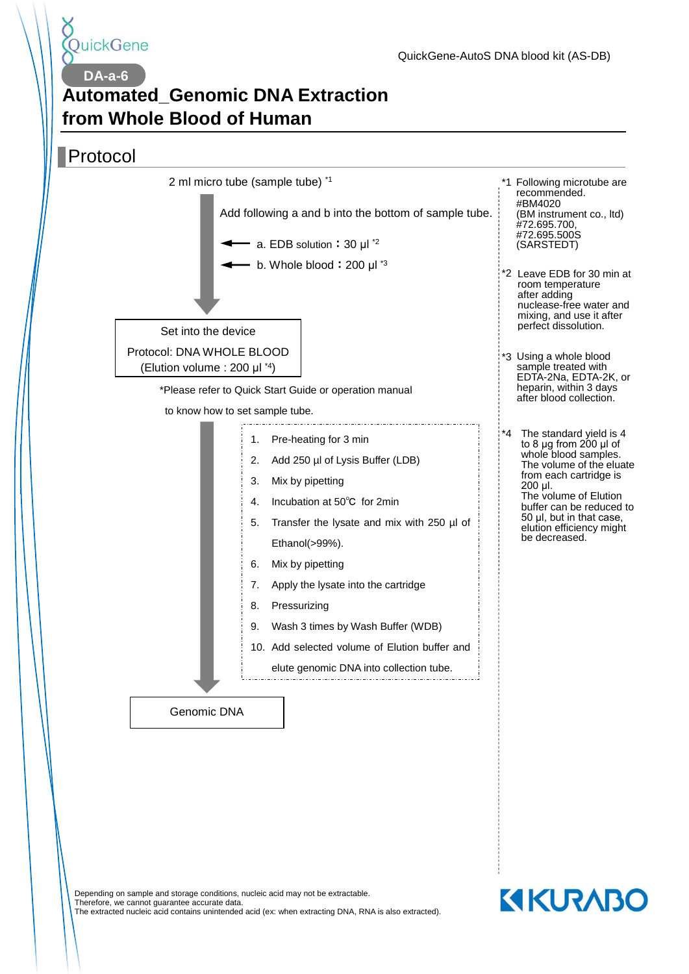

**DA-a-6**

# **Automated\_Genomic DNA Extraction from Whole Blood of Human**